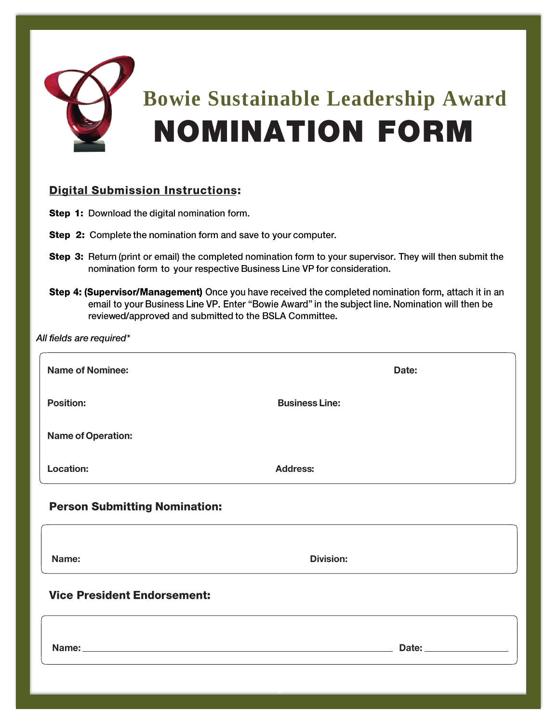

## **Digital Submission Instructions:**

- Step 1: Download the digital nomination form.
- Step 2: Complete the nomination form and save to your computer.
- Step 3: Return (print or email) the completed nomination form to your supervisor. They will then submit the nomination form to your respective Business Line VP for consideration.
- Step 4: (Supervisor/Management) Once you have received the completed nomination form, attach it in an email to your Business Line VP. Enter "Bowie Award" in the subject line. Nomination will then be reviewed/approved and submitted to the BSLA Committee.

| All fields are required*             |                          |
|--------------------------------------|--------------------------|
| <b>Name of Nominee:</b>              | Date:                    |
| <b>Position:</b>                     | <b>Business Line:</b>    |
| <b>Name of Operation:</b>            |                          |
| Location:                            | <b>Address:</b>          |
| <b>Person Submitting Nomination:</b> |                          |
| Name:                                | <b>Division:</b>         |
| <b>Vice President Endorsement:</b>   |                          |
|                                      | Date: __________________ |
|                                      |                          |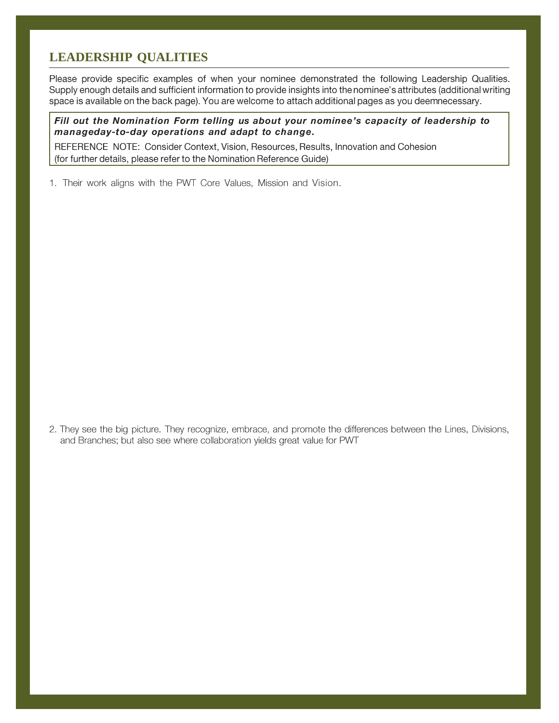# **LEADERSHIP QUALITIES**

Please provide specific examples of when your nominee demonstrated the following Leadership Qualities. Supply enough details and sufficient information to provide insights into the nominee's attributes (additional writing space is available on the back page). You are welcome to attach additional pages as you deemnecessary.

Fill out the Nomination Form telling us about your nominee's capacity of leadership to manageday-to-day operations and adapt to change.

REFERENCE NOTE: Consider Context, Vision, Resources, Results, Innovation and Cohesion (for further details, please refer to the Nomination Reference Guide)

1. Their work aligns with the PWT Core Values, Mission and Vision.

2. They see the big picture. They recognize, embrace, and promote the differences between the Lines, Divisions, and Branches; but also see where collaboration yields great value for PWT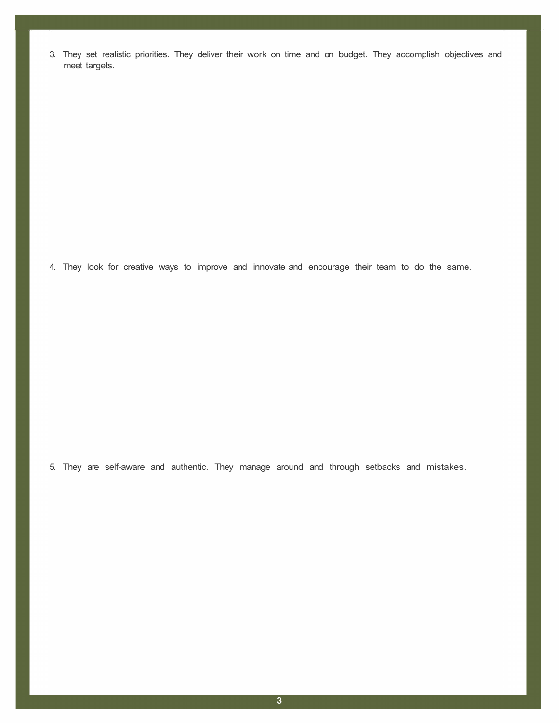3. They set realistic priorities. They deliver their work on time and on budget. They accomplish objectives and meet targets.

4. They look for creative ways to improve and innovate and encourage their team to do the same.

5. They are self-aware and authentic. They manage around and through setbacks and mistakes.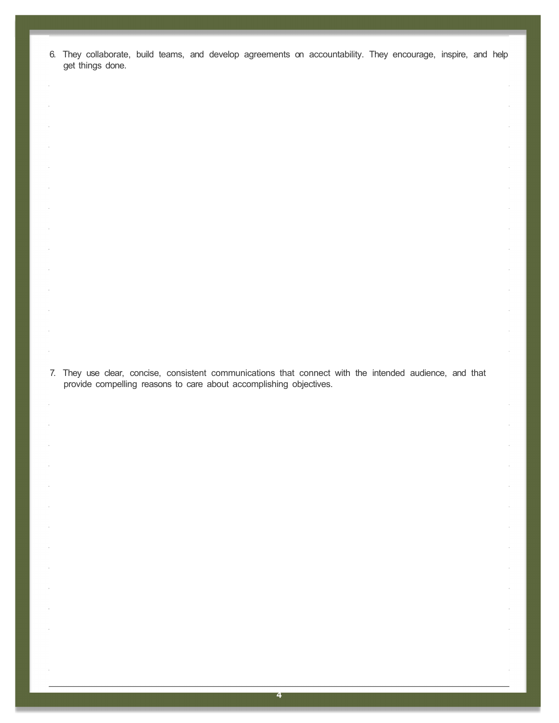6. They collaborate, build teams, and develop agreements on accountability. They encourage, inspire, and help get things done.

 $\epsilon$ 

 $\bar{c}$ 

ł,

 $\epsilon$ 

l,

 $\epsilon$ 

 $\overline{\phantom{a}}$ 

 $\ddot{\phantom{a}}$ 

 $\bar{1}$ 

 $\epsilon$ 

 $\bar{z}$ 

 $\bar{z}$ 

 $\bar{z}$ 

 $\overline{\phantom{a}}$ 

 $\bar{\tau}$ 

 $\bar{z}$ 

 $\bar{z}$ 

 $\bar{z}$ 

 $\bar{z}$ 

 $\overline{\phantom{a}}$ 

 $\ddot{\phantom{a}}$ 

 $\bar{z}$ 

 $\mathcal{L}_{\mathrm{c}}$ 

 $\hat{\boldsymbol{\beta}}$ 

 $\bar{z}$ 

 $\overline{\phantom{a}}$ 

 $\overline{\phantom{a}}$ 

 $\bar{z}$ 

 $\bar{z}$ 

 $\bar{\gamma}$ 

 $\bar{z}$ 

 $\bar{z}$ 

 $\bar{z}$ 

7. They use clear, concise, consistent communications that connect with the intended audience, and that provide compelling reasons to care about accomplishing objectives.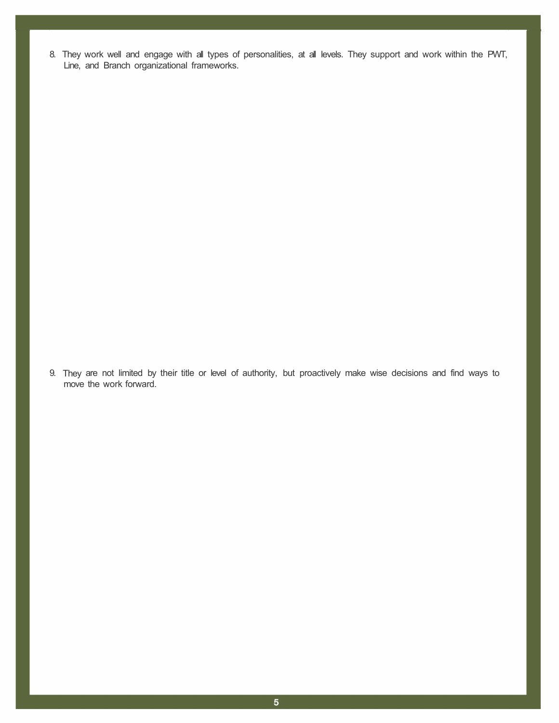8. They work well and engage with all types of personalities, at all levels. They support and work within the PWT, Line, and Branch organizational frameworks.

9. They are not limited by their title or level of authority, but proactively make wise decisions and find ways to move the work forward.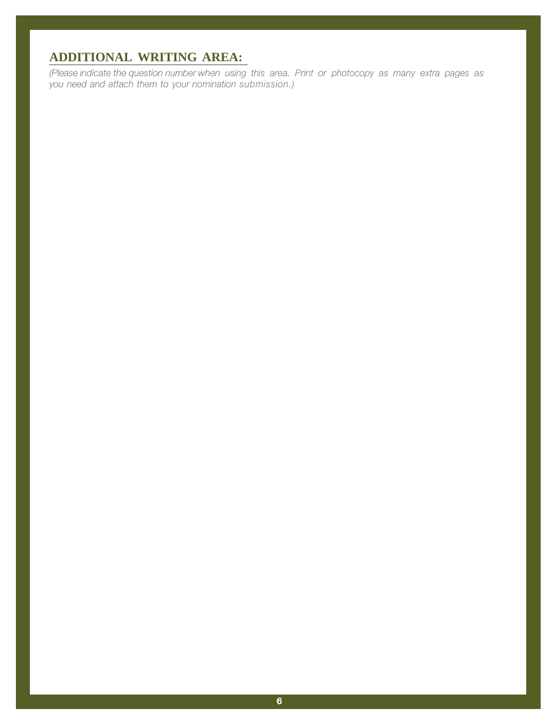# **ADDITIONAL WRITING AREA:**

(Please indicate the question number when using this area. Print or photocopy as many extra pages as you need and attach them to your nomination submission.)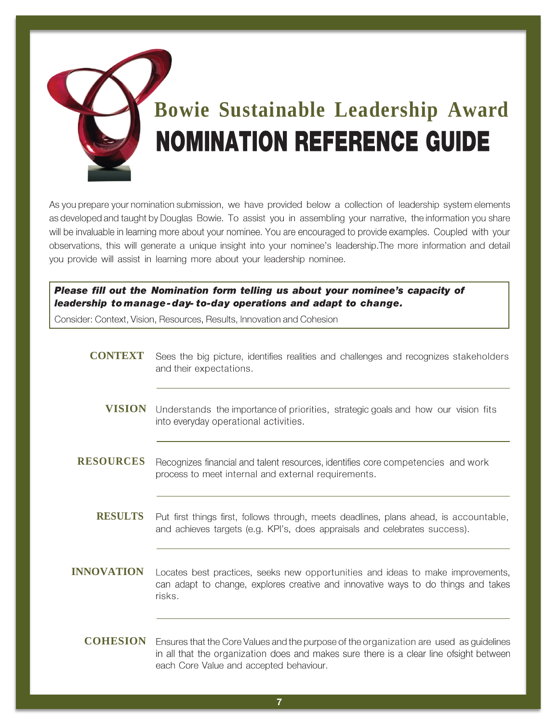

As you prepare your nomination submission, we have provided below a collection of leadership system elements as developed and taught by Douglas Bowie. To assist you in assembling your narrative, the information you share will be invaluable in learning more about your nominee. You are encouraged to provide examples. Coupled with your observations, this will generate a unique insight into your nominee's leadership. The more information and detail you provide will assist in learning more about your leadership nominee.

### Please fill out the Nomination form telling us about your nominee's capacity of leadership to manage-day-to-day operations and adapt to change.

Consider: Context, Vision, Resources, Results, Innovation and Cohesion

| <b>CONTEXT</b>    | Sees the big picture, identifies realities and challenges and recognizes stakeholders<br>and their expectations.                                                                                                             |
|-------------------|------------------------------------------------------------------------------------------------------------------------------------------------------------------------------------------------------------------------------|
| <b>VISION</b>     | Understands the importance of priorities, strategic goals and how our vision fits<br>into everyday operational activities.                                                                                                   |
| <b>RESOURCES</b>  | Recognizes financial and talent resources, identifies core competencies and work<br>process to meet internal and external requirements.                                                                                      |
| <b>RESULTS</b>    | Put first things first, follows through, meets deadlines, plans ahead, is accountable,<br>and achieves targets (e.g. KPI's, does appraisals and celebrates success).                                                         |
| <b>INNOVATION</b> | Locates best practices, seeks new opportunities and ideas to make improvements,<br>can adapt to change, explores creative and innovative ways to do things and takes<br>risks.                                               |
| <b>COHESION</b>   | Ensures that the Core Values and the purpose of the organization are used as guidelines<br>in all that the organization does and makes sure there is a clear line ofsight between<br>each Core Value and accepted behaviour. |